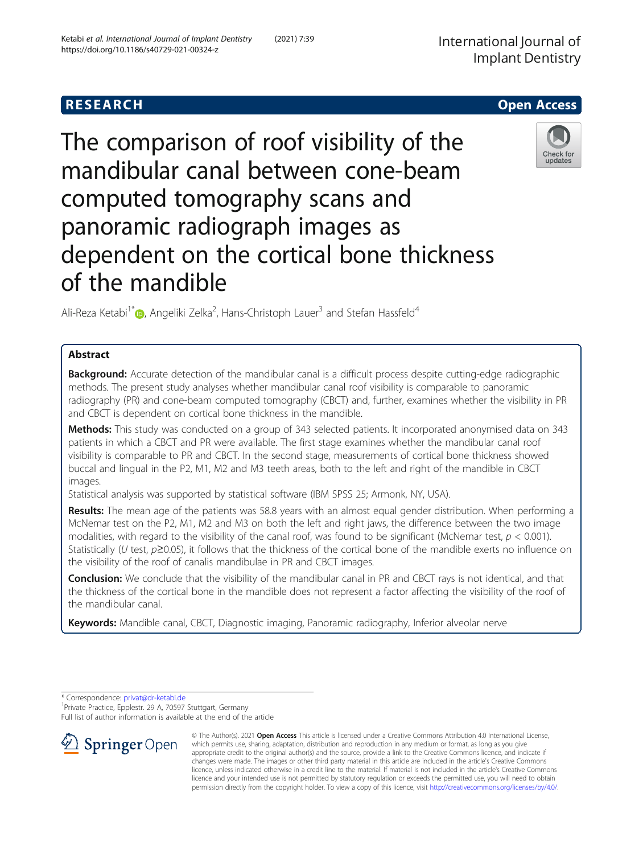## **RESEARCH CHE Open Access**

# The comparison of roof visibility of the mandibular canal between cone-beam computed tomography scans and panoramic radiograph images as dependent on the cortical bone thickness of the mandible

Ali-Reza Ketabi<sup>1\*</sup> (**b**[,](http://orcid.org/0000-0001-5752-2529) Angeliki Zelka<sup>2</sup>, Hans-Christoph Lauer<sup>3</sup> and Stefan Hassfeld<sup>4</sup>

## Abstract

**Background:** Accurate detection of the mandibular canal is a difficult process despite cutting-edge radiographic methods. The present study analyses whether mandibular canal roof visibility is comparable to panoramic radiography (PR) and cone-beam computed tomography (CBCT) and, further, examines whether the visibility in PR and CBCT is dependent on cortical bone thickness in the mandible.

Methods: This study was conducted on a group of 343 selected patients. It incorporated anonymised data on 343 patients in which a CBCT and PR were available. The first stage examines whether the mandibular canal roof visibility is comparable to PR and CBCT. In the second stage, measurements of cortical bone thickness showed buccal and lingual in the P2, M1, M2 and M3 teeth areas, both to the left and right of the mandible in CBCT images.

Statistical analysis was supported by statistical software (IBM SPSS 25; Armonk, NY, USA).

Results: The mean age of the patients was 58.8 years with an almost equal gender distribution. When performing a McNemar test on the P2, M1, M2 and M3 on both the left and right jaws, the difference between the two image modalities, with regard to the visibility of the canal roof, was found to be significant (McNemar test,  $p < 0.001$ ). Statistically (U test,  $p \ge 0.05$ ), it follows that the thickness of the cortical bone of the mandible exerts no influence on the visibility of the roof of canalis mandibulae in PR and CBCT images.

Conclusion: We conclude that the visibility of the mandibular canal in PR and CBCT rays is not identical, and that the thickness of the cortical bone in the mandible does not represent a factor affecting the visibility of the roof of the mandibular canal.

Keywords: Mandible canal, CBCT, Diagnostic imaging, Panoramic radiography, Inferior alveolar nerve

\* Correspondence: [privat@dr-ketabi.de](mailto:privat@dr-ketabi.de) <sup>1</sup>

<sup>1</sup> Private Practice, Epplestr. 29 A, 70597 Stuttgart, Germany

Full list of author information is available at the end of the article











© The Author(s). 2021 Open Access This article is licensed under a Creative Commons Attribution 4.0 International License, which permits use, sharing, adaptation, distribution and reproduction in any medium or format, as long as you give appropriate credit to the original author(s) and the source, provide a link to the Creative Commons licence, and indicate if changes were made. The images or other third party material in this article are included in the article's Creative Commons licence, unless indicated otherwise in a credit line to the material. If material is not included in the article's Creative Commons licence and your intended use is not permitted by statutory regulation or exceeds the permitted use, you will need to obtain permission directly from the copyright holder. To view a copy of this licence, visit <http://creativecommons.org/licenses/by/4.0/>.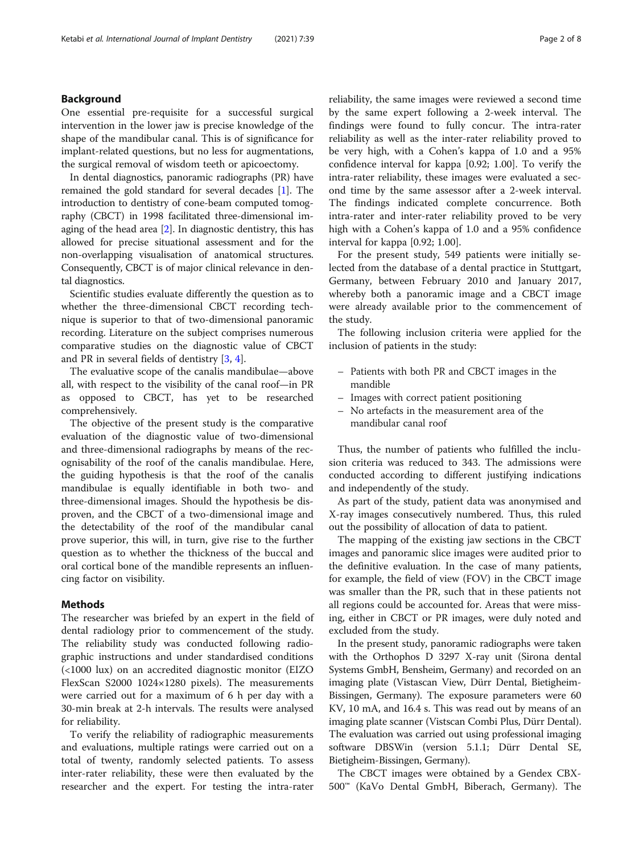## Background

One essential pre-requisite for a successful surgical intervention in the lower jaw is precise knowledge of the shape of the mandibular canal. This is of significance for implant-related questions, but no less for augmentations, the surgical removal of wisdom teeth or apicoectomy.

In dental diagnostics, panoramic radiographs (PR) have remained the gold standard for several decades [\[1](#page-7-0)]. The introduction to dentistry of cone-beam computed tomography (CBCT) in 1998 facilitated three-dimensional imaging of the head area [[2\]](#page-7-0). In diagnostic dentistry, this has allowed for precise situational assessment and for the non-overlapping visualisation of anatomical structures. Consequently, CBCT is of major clinical relevance in dental diagnostics.

Scientific studies evaluate differently the question as to whether the three-dimensional CBCT recording technique is superior to that of two-dimensional panoramic recording. Literature on the subject comprises numerous comparative studies on the diagnostic value of CBCT and PR in several fields of dentistry [[3,](#page-7-0) [4\]](#page-7-0).

The evaluative scope of the canalis mandibulae—above all, with respect to the visibility of the canal roof—in PR as opposed to CBCT, has yet to be researched comprehensively.

The objective of the present study is the comparative evaluation of the diagnostic value of two-dimensional and three-dimensional radiographs by means of the recognisability of the roof of the canalis mandibulae. Here, the guiding hypothesis is that the roof of the canalis mandibulae is equally identifiable in both two- and three-dimensional images. Should the hypothesis be disproven, and the CBCT of a two-dimensional image and the detectability of the roof of the mandibular canal prove superior, this will, in turn, give rise to the further question as to whether the thickness of the buccal and oral cortical bone of the mandible represents an influencing factor on visibility.

## Methods

The researcher was briefed by an expert in the field of dental radiology prior to commencement of the study. The reliability study was conducted following radiographic instructions and under standardised conditions (<1000 lux) on an accredited diagnostic monitor (EIZO FlexScan S2000 1024×1280 pixels). The measurements were carried out for a maximum of 6 h per day with a 30-min break at 2-h intervals. The results were analysed for reliability.

To verify the reliability of radiographic measurements and evaluations, multiple ratings were carried out on a total of twenty, randomly selected patients. To assess inter-rater reliability, these were then evaluated by the researcher and the expert. For testing the intra-rater reliability, the same images were reviewed a second time by the same expert following a 2-week interval. The findings were found to fully concur. The intra-rater reliability as well as the inter-rater reliability proved to be very high, with a Cohen's kappa of 1.0 and a 95% confidence interval for kappa [0.92; 1.00]. To verify the intra-rater reliability, these images were evaluated a second time by the same assessor after a 2-week interval. The findings indicated complete concurrence. Both intra-rater and inter-rater reliability proved to be very high with a Cohen's kappa of 1.0 and a 95% confidence interval for kappa [0.92; 1.00].

For the present study, 549 patients were initially selected from the database of a dental practice in Stuttgart, Germany, between February 2010 and January 2017, whereby both a panoramic image and a CBCT image were already available prior to the commencement of the study.

The following inclusion criteria were applied for the inclusion of patients in the study:

- Patients with both PR and CBCT images in the mandible
- Images with correct patient positioning
- No artefacts in the measurement area of the mandibular canal roof

Thus, the number of patients who fulfilled the inclusion criteria was reduced to 343. The admissions were conducted according to different justifying indications and independently of the study.

As part of the study, patient data was anonymised and X-ray images consecutively numbered. Thus, this ruled out the possibility of allocation of data to patient.

The mapping of the existing jaw sections in the CBCT images and panoramic slice images were audited prior to the definitive evaluation. In the case of many patients, for example, the field of view (FOV) in the CBCT image was smaller than the PR, such that in these patients not all regions could be accounted for. Areas that were missing, either in CBCT or PR images, were duly noted and excluded from the study.

In the present study, panoramic radiographs were taken with the Orthophos D 3297 X-ray unit (Sirona dental Systems GmbH, Bensheim, Germany) and recorded on an imaging plate (Vistascan View, Dürr Dental, Bietigheim-Bissingen, Germany). The exposure parameters were 60 KV, 10 mA, and 16.4 s. This was read out by means of an imaging plate scanner (Vistscan Combi Plus, Dürr Dental). The evaluation was carried out using professional imaging software DBSWin (version 5.1.1; Dürr Dental SE, Bietigheim-Bissingen, Germany).

The CBCT images were obtained by a Gendex CBX-500™ (KaVo Dental GmbH, Biberach, Germany). The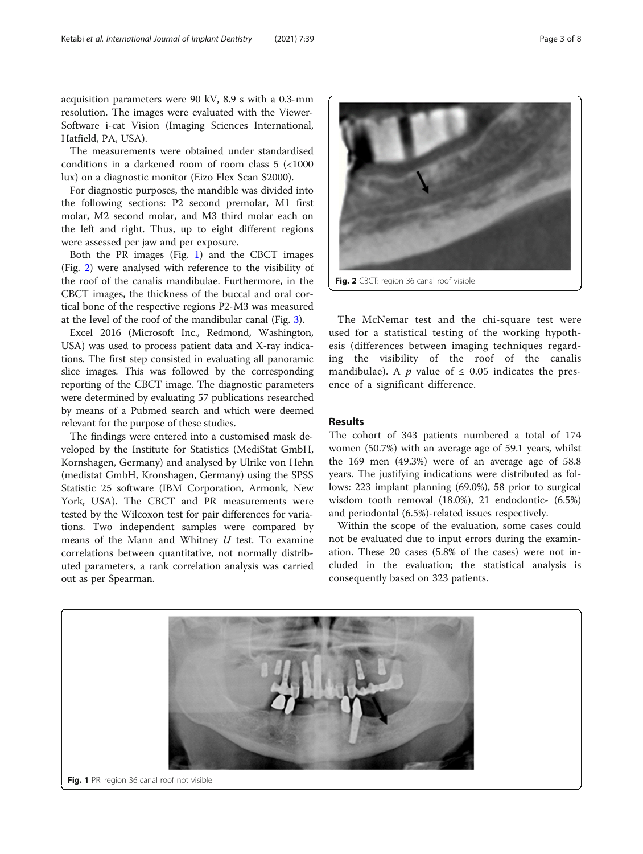acquisition parameters were 90 kV, 8.9 s with a 0.3-mm resolution. The images were evaluated with the Viewer-Software i-cat Vision (Imaging Sciences International, Hatfield, PA, USA).

The measurements were obtained under standardised conditions in a darkened room of room class 5 (<1000 lux) on a diagnostic monitor (Eizo Flex Scan S2000).

For diagnostic purposes, the mandible was divided into the following sections: P2 second premolar, M1 first molar, M2 second molar, and M3 third molar each on the left and right. Thus, up to eight different regions were assessed per jaw and per exposure.

Both the PR images (Fig. 1) and the CBCT images (Fig. 2) were analysed with reference to the visibility of the roof of the canalis mandibulae. Furthermore, in the CBCT images, the thickness of the buccal and oral cortical bone of the respective regions P2-M3 was measured at the level of the roof of the mandibular canal (Fig. [3](#page-3-0)).

Excel 2016 (Microsoft Inc., Redmond, Washington, USA) was used to process patient data and X-ray indications. The first step consisted in evaluating all panoramic slice images. This was followed by the corresponding reporting of the CBCT image. The diagnostic parameters were determined by evaluating 57 publications researched by means of a Pubmed search and which were deemed relevant for the purpose of these studies.

The findings were entered into a customised mask developed by the Institute for Statistics (MediStat GmbH, Kornshagen, Germany) and analysed by Ulrike von Hehn (medistat GmbH, Kronshagen, Germany) using the SPSS Statistic 25 software (IBM Corporation, Armonk, New York, USA). The CBCT and PR measurements were tested by the Wilcoxon test for pair differences for variations. Two independent samples were compared by means of the Mann and Whitney  $U$  test. To examine correlations between quantitative, not normally distributed parameters, a rank correlation analysis was carried out as per Spearman.



Fig. 2 CBCT: region 36 canal roof visible

The McNemar test and the chi-square test were used for a statistical testing of the working hypothesis (differences between imaging techniques regarding the visibility of the roof of the canalis mandibulae). A p value of  $\leq$  0.05 indicates the presence of a significant difference.

#### Results

The cohort of 343 patients numbered a total of 174 women (50.7%) with an average age of 59.1 years, whilst the 169 men (49.3%) were of an average age of 58.8 years. The justifying indications were distributed as follows: 223 implant planning (69.0%), 58 prior to surgical wisdom tooth removal (18.0%), 21 endodontic- (6.5%) and periodontal (6.5%)-related issues respectively.

Within the scope of the evaluation, some cases could not be evaluated due to input errors during the examination. These 20 cases (5.8% of the cases) were not included in the evaluation; the statistical analysis is consequently based on 323 patients.

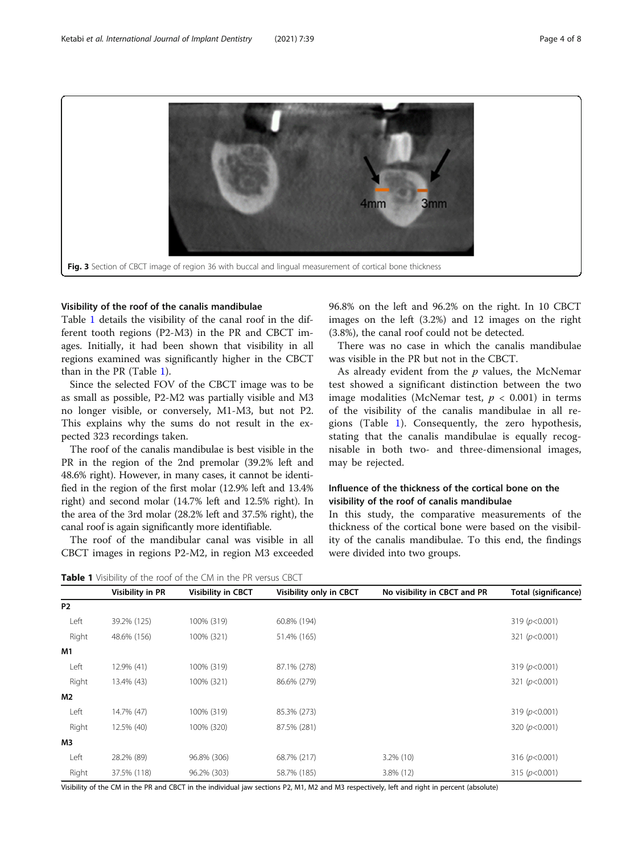<span id="page-3-0"></span>3mm 4mm Fig. 3 Section of CBCT image of region 36 with buccal and lingual measurement of cortical bone thickness

#### Visibility of the roof of the canalis mandibulae

Table 1 details the visibility of the canal roof in the different tooth regions (P2-M3) in the PR and CBCT images. Initially, it had been shown that visibility in all regions examined was significantly higher in the CBCT than in the PR (Table 1).

Since the selected FOV of the CBCT image was to be as small as possible, P2-M2 was partially visible and M3 no longer visible, or conversely, M1-M3, but not P2. This explains why the sums do not result in the expected 323 recordings taken.

The roof of the canalis mandibulae is best visible in the PR in the region of the 2nd premolar (39.2% left and 48.6% right). However, in many cases, it cannot be identified in the region of the first molar (12.9% left and 13.4% right) and second molar (14.7% left and 12.5% right). In the area of the 3rd molar (28.2% left and 37.5% right), the canal roof is again significantly more identifiable.

The roof of the mandibular canal was visible in all CBCT images in regions P2-M2, in region M3 exceeded 96.8% on the left and 96.2% on the right. In 10 CBCT images on the left (3.2%) and 12 images on the right (3.8%), the canal roof could not be detected.

There was no case in which the canalis mandibulae was visible in the PR but not in the CBCT.

As already evident from the  $p$  values, the McNemar test showed a significant distinction between the two image modalities (McNemar test,  $p < 0.001$ ) in terms of the visibility of the canalis mandibulae in all regions (Table 1). Consequently, the zero hypothesis, stating that the canalis mandibulae is equally recognisable in both two- and three-dimensional images, may be rejected.

## Influence of the thickness of the cortical bone on the visibility of the roof of canalis mandibulae

In this study, the comparative measurements of the thickness of the cortical bone were based on the visibility of the canalis mandibulae. To this end, the findings were divided into two groups.

Table 1 Visibility of the roof of the CM in the PR versus CBCT Visibility in PR Visibility in CBCT Visibility only in CBCT No visibility in CBCT and PR Total (significance) P2 Left 39.2% (125) 100% (319) 60.8% (194) 319 (p<0.001) Right 48.6% (156) 100% (321) 51.4% (165) 51.4% (165) 51.4% 51.4% 51.4% 51.4% 51.4% 51.4% 51.4% 51.4% 51.4% 51.4% 51.4% 51.4% 51.4% 51.4% 51.4% 51.4% 51.4% 51.4% 51.4% 51.4% 51.4% 51.4% 51.4% 51.4% 51.4% 51.4% 51.4% 51.4% 5 M1 Left 12.9% (41) 100% (319) 87.1% (278) 319 (p<0.001) Right 13.4% (43) 100% (321) 86.6% (279) 321 (p<0.001) M2 Left 14.7% (47) 100% (319) 85.3% (273) 319 (p<0.001) Right 12.5% (40) 100% (320) 87.5% (281) 320 (p<0.001) 320 (p<0.001) M3 Left 28.2% (89) 96.8% (306) 68.7% (217) 3.2% (10) 316 (p<0.001) Right 37.5% (118) 96.2% (303) 58.7% (185) 3.8% (12) 315 (p<0.001)

Visibility of the CM in the PR and CBCT in the individual jaw sections P2, M1, M2 and M3 respectively, left and right in percent (absolute)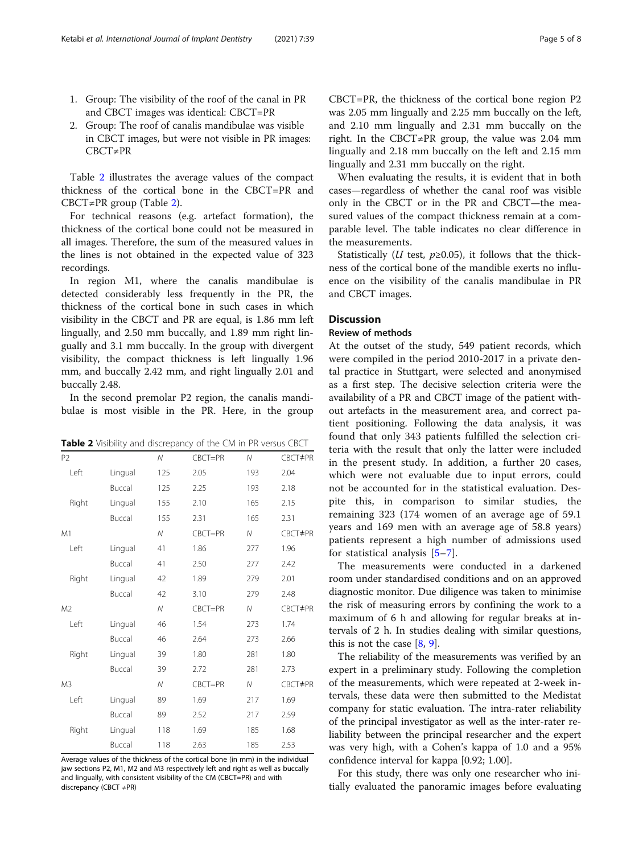- 1. Group: The visibility of the roof of the canal in PR and CBCT images was identical: CBCT=PR
- 2. Group: The roof of canalis mandibulae was visible in CBCT images, but were not visible in PR images: CBCT≠PR

Table 2 illustrates the average values of the compact thickness of the cortical bone in the CBCT=PR and CBCT≠PR group (Table 2).

For technical reasons (e.g. artefact formation), the thickness of the cortical bone could not be measured in all images. Therefore, the sum of the measured values in the lines is not obtained in the expected value of 323 recordings.

In region M1, where the canalis mandibulae is detected considerably less frequently in the PR, the thickness of the cortical bone in such cases in which visibility in the CBCT and PR are equal, is 1.86 mm left lingually, and 2.50 mm buccally, and 1.89 mm right lingually and 3.1 mm buccally. In the group with divergent visibility, the compact thickness is left lingually 1.96 mm, and buccally 2.42 mm, and right lingually 2.01 and buccally 2.48.

In the second premolar P2 region, the canalis mandibulae is most visible in the PR. Here, in the group

|  | Table 2 Visibility and discrepancy of the CM in PR versus CBCT |  |  |
|--|----------------------------------------------------------------|--|--|
|--|----------------------------------------------------------------|--|--|

| P <sub>2</sub> |         | N            | CBCT=PR     | N            | CBCT#PR |
|----------------|---------|--------------|-------------|--------------|---------|
| Left           | Lingual | 125          | 2.05        | 193          | 2.04    |
|                | Buccal  | 125          | 2.25        | 193          | 2.18    |
| Right          | Lingual | 155          | 2.10        | 165          | 2.15    |
|                | Buccal  | 155          | 2.31        | 165          | 2.31    |
| M1             |         | N            | $CBCT = PR$ | N            | CBCT#PR |
| Left           | Lingual | 41           | 1.86        | 277          | 1.96    |
|                | Buccal  | 41           | 2.50        | 277          | 2.42    |
| Right          | Lingual | 42           | 1.89        | 279          | 2.01    |
|                | Buccal  | 42           | 3.10        | 279          | 2.48    |
| M <sub>2</sub> |         | N            | CBCT=PR     | $\mathcal N$ | CBCT#PR |
| Left           | Lingual | 46           | 1.54        | 273          | 1.74    |
|                | Buccal  | 46           | 2.64        | 273          | 2.66    |
| Right          | Lingual | 39           | 1.80        | 281          | 1.80    |
|                | Buccal  | 39           | 2.72        | 281          | 2.73    |
| M <sub>3</sub> |         | $\mathcal N$ | CBCT=PR     | $\mathcal N$ | CBCT#PR |
| Left           | Lingual | 89           | 1.69        | 217          | 1.69    |
|                | Buccal  | 89           | 2.52        | 217          | 2.59    |
| Right          | Lingual | 118          | 1.69        | 185          | 1.68    |
|                | Buccal  | 118          | 2.63        | 185          | 2.53    |

Average values of the thickness of the cortical bone (in mm) in the individual jaw sections P2, M1, M2 and M3 respectively left and right as well as buccally and lingually, with consistent visibility of the CM (CBCT=PR) and with discrepancy (CBCT ≠PR)

CBCT=PR, the thickness of the cortical bone region P2 was 2.05 mm lingually and 2.25 mm buccally on the left, and 2.10 mm lingually and 2.31 mm buccally on the right. In the CBCT≠PR group, the value was 2.04 mm lingually and 2.18 mm buccally on the left and 2.15 mm lingually and 2.31 mm buccally on the right.

When evaluating the results, it is evident that in both cases—regardless of whether the canal roof was visible only in the CBCT or in the PR and CBCT—the measured values of the compact thickness remain at a comparable level. The table indicates no clear difference in the measurements.

Statistically (*U* test,  $p \ge 0.05$ ), it follows that the thickness of the cortical bone of the mandible exerts no influence on the visibility of the canalis mandibulae in PR and CBCT images.

## **Discussion**

#### Review of methods

At the outset of the study, 549 patient records, which were compiled in the period 2010-2017 in a private dental practice in Stuttgart, were selected and anonymised as a first step. The decisive selection criteria were the availability of a PR and CBCT image of the patient without artefacts in the measurement area, and correct patient positioning. Following the data analysis, it was found that only 343 patients fulfilled the selection criteria with the result that only the latter were included in the present study. In addition, a further 20 cases, which were not evaluable due to input errors, could not be accounted for in the statistical evaluation. Despite this, in comparison to similar studies, the remaining 323 (174 women of an average age of 59.1 years and 169 men with an average age of 58.8 years) patients represent a high number of admissions used for statistical analysis [[5](#page-7-0)–[7\]](#page-7-0).

The measurements were conducted in a darkened room under standardised conditions and on an approved diagnostic monitor. Due diligence was taken to minimise the risk of measuring errors by confining the work to a maximum of 6 h and allowing for regular breaks at intervals of 2 h. In studies dealing with similar questions, this is not the case [\[8](#page-7-0), [9](#page-7-0)].

The reliability of the measurements was verified by an expert in a preliminary study. Following the completion of the measurements, which were repeated at 2-week intervals, these data were then submitted to the Medistat company for static evaluation. The intra-rater reliability of the principal investigator as well as the inter-rater reliability between the principal researcher and the expert was very high, with a Cohen's kappa of 1.0 and a 95% confidence interval for kappa [0.92; 1.00].

For this study, there was only one researcher who initially evaluated the panoramic images before evaluating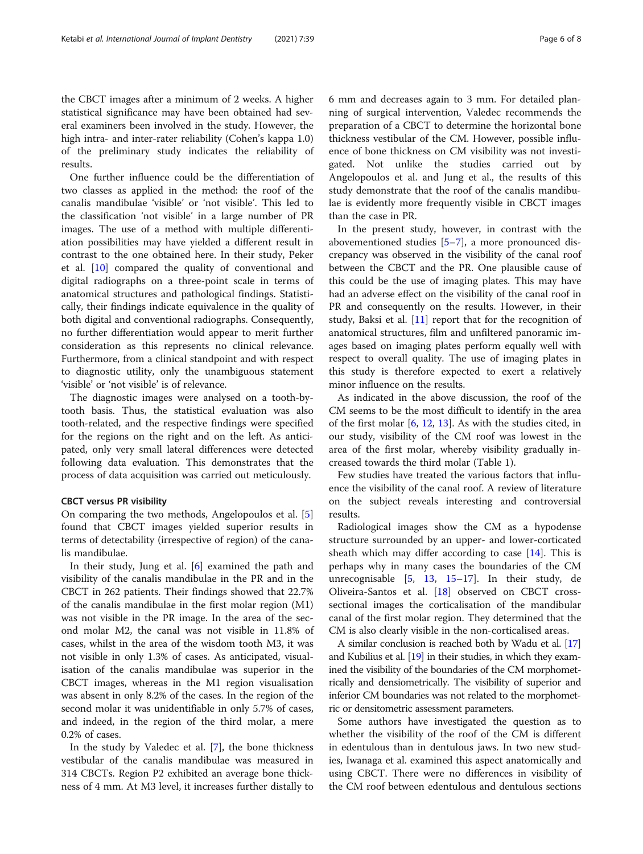the CBCT images after a minimum of 2 weeks. A higher statistical significance may have been obtained had several examiners been involved in the study. However, the high intra- and inter-rater reliability (Cohen's kappa 1.0) of the preliminary study indicates the reliability of results.

One further influence could be the differentiation of two classes as applied in the method: the roof of the canalis mandibulae 'visible' or 'not visible'. This led to the classification 'not visible' in a large number of PR images. The use of a method with multiple differentiation possibilities may have yielded a different result in contrast to the one obtained here. In their study, Peker et al. [[10](#page-7-0)] compared the quality of conventional and digital radiographs on a three-point scale in terms of anatomical structures and pathological findings. Statistically, their findings indicate equivalence in the quality of both digital and conventional radiographs. Consequently, no further differentiation would appear to merit further consideration as this represents no clinical relevance. Furthermore, from a clinical standpoint and with respect to diagnostic utility, only the unambiguous statement 'visible' or 'not visible' is of relevance.

The diagnostic images were analysed on a tooth-bytooth basis. Thus, the statistical evaluation was also tooth-related, and the respective findings were specified for the regions on the right and on the left. As anticipated, only very small lateral differences were detected following data evaluation. This demonstrates that the process of data acquisition was carried out meticulously.

#### CBCT versus PR visibility

On comparing the two methods, Angelopoulos et al. [\[5](#page-7-0)] found that CBCT images yielded superior results in terms of detectability (irrespective of region) of the canalis mandibulae.

In their study, Jung et al. [\[6](#page-7-0)] examined the path and visibility of the canalis mandibulae in the PR and in the CBCT in 262 patients. Their findings showed that 22.7% of the canalis mandibulae in the first molar region (M1) was not visible in the PR image. In the area of the second molar M2, the canal was not visible in 11.8% of cases, whilst in the area of the wisdom tooth M3, it was not visible in only 1.3% of cases. As anticipated, visualisation of the canalis mandibulae was superior in the CBCT images, whereas in the M1 region visualisation was absent in only 8.2% of the cases. In the region of the second molar it was unidentifiable in only 5.7% of cases, and indeed, in the region of the third molar, a mere 0.2% of cases.

In the study by Valedec et al. [[7\]](#page-7-0), the bone thickness vestibular of the canalis mandibulae was measured in 314 CBCTs. Region P2 exhibited an average bone thickness of 4 mm. At M3 level, it increases further distally to 6 mm and decreases again to 3 mm. For detailed planning of surgical intervention, Valedec recommends the preparation of a CBCT to determine the horizontal bone thickness vestibular of the CM. However, possible influence of bone thickness on CM visibility was not investigated. Not unlike the studies carried out by Angelopoulos et al. and Jung et al., the results of this study demonstrate that the roof of the canalis mandibulae is evidently more frequently visible in CBCT images than the case in PR.

In the present study, however, in contrast with the abovementioned studies [\[5](#page-7-0)–[7](#page-7-0)], a more pronounced discrepancy was observed in the visibility of the canal roof between the CBCT and the PR. One plausible cause of this could be the use of imaging plates. This may have had an adverse effect on the visibility of the canal roof in PR and consequently on the results. However, in their study, Baksi et al. [\[11\]](#page-7-0) report that for the recognition of anatomical structures, film and unfiltered panoramic images based on imaging plates perform equally well with respect to overall quality. The use of imaging plates in this study is therefore expected to exert a relatively minor influence on the results.

As indicated in the above discussion, the roof of the CM seems to be the most difficult to identify in the area of the first molar  $[6, 12, 13]$  $[6, 12, 13]$  $[6, 12, 13]$  $[6, 12, 13]$  $[6, 12, 13]$  $[6, 12, 13]$ . As with the studies cited, in our study, visibility of the CM roof was lowest in the area of the first molar, whereby visibility gradually increased towards the third molar (Table [1\)](#page-3-0).

Few studies have treated the various factors that influence the visibility of the canal roof. A review of literature on the subject reveals interesting and controversial results.

Radiological images show the CM as a hypodense structure surrounded by an upper- and lower-corticated sheath which may differ according to case [[14\]](#page-7-0). This is perhaps why in many cases the boundaries of the CM unrecognisable [\[5](#page-7-0), [13,](#page-7-0) [15](#page-7-0)–[17\]](#page-7-0). In their study, de Oliveira-Santos et al. [\[18\]](#page-7-0) observed on CBCT crosssectional images the corticalisation of the mandibular canal of the first molar region. They determined that the CM is also clearly visible in the non-corticalised areas.

A similar conclusion is reached both by Wadu et al. [\[17](#page-7-0)] and Kubilius et al. [[19](#page-7-0)] in their studies, in which they examined the visibility of the boundaries of the CM morphometrically and densiometrically. The visibility of superior and inferior CM boundaries was not related to the morphometric or densitometric assessment parameters.

Some authors have investigated the question as to whether the visibility of the roof of the CM is different in edentulous than in dentulous jaws. In two new studies, Iwanaga et al. examined this aspect anatomically and using CBCT. There were no differences in visibility of the CM roof between edentulous and dentulous sections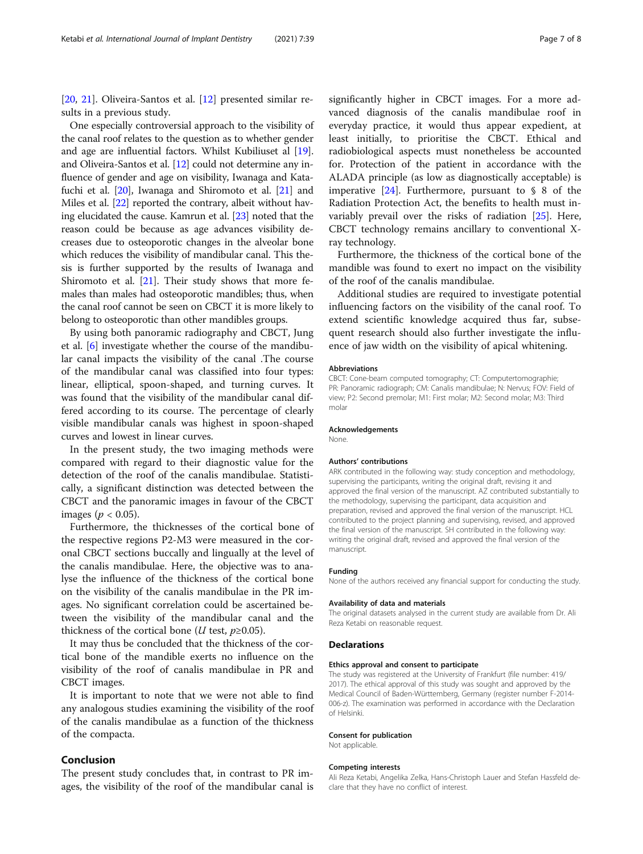[[20,](#page-7-0) [21](#page-7-0)]. Oliveira-Santos et al. [[12](#page-7-0)] presented similar results in a previous study.

One especially controversial approach to the visibility of the canal roof relates to the question as to whether gender and age are influential factors. Whilst Kubiliuset al [[19](#page-7-0)]. and Oliveira-Santos et al. [[12\]](#page-7-0) could not determine any influence of gender and age on visibility, Iwanaga and Katafuchi et al. [[20](#page-7-0)], Iwanaga and Shiromoto et al. [[21](#page-7-0)] and Miles et al. [\[22\]](#page-7-0) reported the contrary, albeit without having elucidated the cause. Kamrun et al. [\[23\]](#page-7-0) noted that the reason could be because as age advances visibility decreases due to osteoporotic changes in the alveolar bone which reduces the visibility of mandibular canal. This thesis is further supported by the results of Iwanaga and Shiromoto et al. [\[21](#page-7-0)]. Their study shows that more females than males had osteoporotic mandibles; thus, when the canal roof cannot be seen on CBCT it is more likely to belong to osteoporotic than other mandibles groups.

By using both panoramic radiography and CBCT, Jung et al. [\[6\]](#page-7-0) investigate whether the course of the mandibular canal impacts the visibility of the canal .The course of the mandibular canal was classified into four types: linear, elliptical, spoon-shaped, and turning curves. It was found that the visibility of the mandibular canal differed according to its course. The percentage of clearly visible mandibular canals was highest in spoon-shaped curves and lowest in linear curves.

In the present study, the two imaging methods were compared with regard to their diagnostic value for the detection of the roof of the canalis mandibulae. Statistically, a significant distinction was detected between the CBCT and the panoramic images in favour of the CBCT images ( $p < 0.05$ ).

Furthermore, the thicknesses of the cortical bone of the respective regions P2-M3 were measured in the coronal CBCT sections buccally and lingually at the level of the canalis mandibulae. Here, the objective was to analyse the influence of the thickness of the cortical bone on the visibility of the canalis mandibulae in the PR images. No significant correlation could be ascertained between the visibility of the mandibular canal and the thickness of the cortical bone (*U* test,  $p \ge 0.05$ ).

It may thus be concluded that the thickness of the cortical bone of the mandible exerts no influence on the visibility of the roof of canalis mandibulae in PR and CBCT images.

It is important to note that we were not able to find any analogous studies examining the visibility of the roof of the canalis mandibulae as a function of the thickness of the compacta.

## Conclusion

The present study concludes that, in contrast to PR images, the visibility of the roof of the mandibular canal is

significantly higher in CBCT images. For a more advanced diagnosis of the canalis mandibulae roof in everyday practice, it would thus appear expedient, at least initially, to prioritise the CBCT. Ethical and radiobiological aspects must nonetheless be accounted for. Protection of the patient in accordance with the ALADA principle (as low as diagnostically acceptable) is imperative  $[24]$  $[24]$ . Furthermore, pursuant to § 8 of the Radiation Protection Act, the benefits to health must invariably prevail over the risks of radiation [\[25\]](#page-7-0). Here, CBCT technology remains ancillary to conventional Xray technology.

Furthermore, the thickness of the cortical bone of the mandible was found to exert no impact on the visibility of the roof of the canalis mandibulae.

Additional studies are required to investigate potential influencing factors on the visibility of the canal roof. To extend scientific knowledge acquired thus far, subsequent research should also further investigate the influence of jaw width on the visibility of apical whitening.

#### Abbreviations

CBCT: Cone-beam computed tomography; CT: Computertomographie; PR: Panoramic radiograph; CM: Canalis mandibulae; N: Nervus; FOV: Field of view; P2: Second premolar; M1: First molar; M2: Second molar; M3: Third molar

#### Acknowledgements

None.

#### Authors' contributions

ARK contributed in the following way: study conception and methodology, supervising the participants, writing the original draft, revising it and approved the final version of the manuscript. AZ contributed substantially to the methodology, supervising the participant, data acquisition and preparation, revised and approved the final version of the manuscript. HCL contributed to the project planning and supervising, revised, and approved the final version of the manuscript. SH contributed in the following way: writing the original draft, revised and approved the final version of the manuscript.

#### Funding

None of the authors received any financial support for conducting the study.

#### Availability of data and materials

The original datasets analysed in the current study are available from Dr. Ali Reza Ketabi on reasonable request.

#### Declarations

#### Ethics approval and consent to participate

The study was registered at the University of Frankfurt (file number: 419/ 2017). The ethical approval of this study was sought and approved by the Medical Council of Baden-Württemberg, Germany (register number F-2014- 006-z). The examination was performed in accordance with the Declaration of Helsinki.

#### Consent for publication

Not applicable.

#### Competing interests

Ali Reza Ketabi, Angelika Zelka, Hans-Christoph Lauer and Stefan Hassfeld declare that they have no conflict of interest.